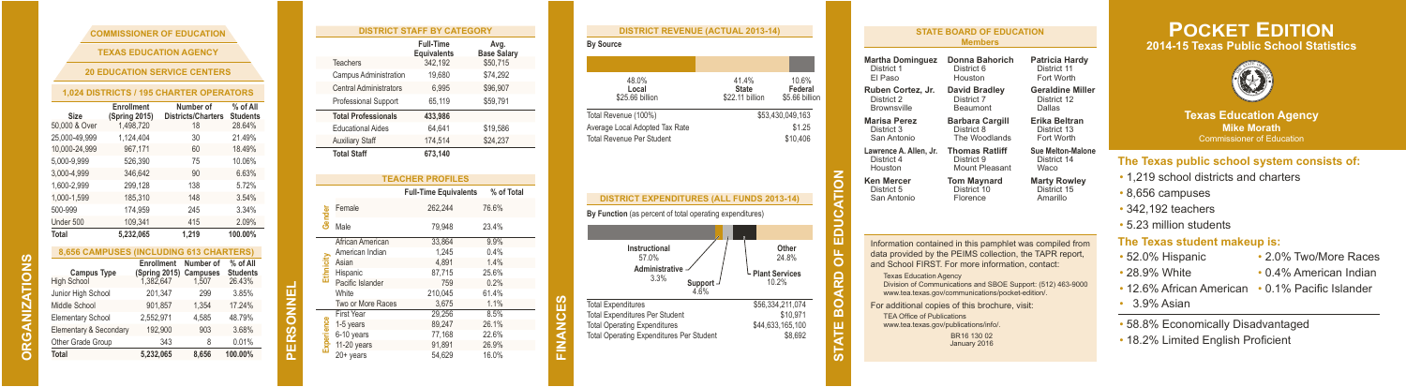| <b>COMMISSIONER OF EDUCATION</b>      |  |
|---------------------------------------|--|
| <b>TEXAS EDUCATION AGENCY</b>         |  |
| <b>20 EDUCATION SERVICE CENTERS</b>   |  |
| 024 DISTRICTS / 195 CHARTER OPERATORS |  |

**COMMISSIONER OF EDUCATION**

| Size          | Enrollment<br>(Spring 2015) | Number of<br><b>Districts/Charters</b> | % of All<br><b>Students</b> |
|---------------|-----------------------------|----------------------------------------|-----------------------------|
| 50,000 & Over | 1,498,720                   | 18                                     | 28.64%                      |
| 25.000-49.999 | 1.124.404                   | 30                                     | 21.49%                      |
| 10.000-24.999 | 967.171                     | 60                                     | 18.49%                      |
| 5.000-9.999   | 526.390                     | 75                                     | 10.06%                      |
| 3.000-4.999   | 346.642                     | 90                                     | 6.63%                       |
| 1.600-2.999   | 299,128                     | 138                                    | 5.72%                       |
| 1.000-1.599   | 185,310                     | 148                                    | 3.54%                       |
| 500-999       | 174.959                     | 245                                    | 3.34%                       |
| Under 500     | 109.341                     | 415                                    | 2.09%                       |
| Total         | 5.232.065                   | 1.219                                  | 100.00%                     |

| <b>8.656 CAMPUSES (INCLUDING 613 CHARTERS)</b> |                             |                       |                             |  |  |
|------------------------------------------------|-----------------------------|-----------------------|-----------------------------|--|--|
| <b>Campus Type</b>                             | Enrollment<br>(Spring 2015) | Number of<br>Campuses | % of All<br><b>Students</b> |  |  |
| <b>High School</b>                             | 1.382.647                   | 1.507                 | 26.43%                      |  |  |
| Junior High School                             | 201,347                     | 299                   | 3.85%                       |  |  |
| Middle School                                  | 901.857                     | 1.354                 | 17.24%                      |  |  |
| <b>Elementary School</b>                       | 2.552.971                   | 4.585                 | 48.79%                      |  |  |
| Elementary & Secondary                         | 192.900                     | 903                   | 3.68%                       |  |  |
| Other Grade Group                              | 343                         | 8                     | 0.01%                       |  |  |
| <b>Total</b>                                   | 5,232,065                   | 8.656                 | 100.00%                     |  |  |

**ORGANIZATIONS**

GANIZ ιă  $\overline{\Omega}$ 

**ZATIONS** 

**PERSONNEL**

| <b>DISTRICT STAFF BY CATEGORY</b> |                            |                                 |                            |  |  |
|-----------------------------------|----------------------------|---------------------------------|----------------------------|--|--|
|                                   |                            | <b>Full-Time</b><br>Equivalents | Avg.<br><b>Base Salary</b> |  |  |
|                                   | Teachers                   | 342.192                         | \$50,715                   |  |  |
|                                   | Campus Administration      | 19.680                          | \$74,292                   |  |  |
|                                   | Central Administrators     | 6.995                           | \$96,907                   |  |  |
|                                   | Professional Support       | 65.119                          | \$59.791                   |  |  |
|                                   | <b>Total Professionals</b> | 433.986                         |                            |  |  |
|                                   | <b>Educational Aides</b>   | 64.641                          | \$19,586                   |  |  |
|                                   | <b>Auxiliary Staff</b>     | 174,514                         | \$24,237                   |  |  |
|                                   | <b>Total Staff</b>         | 673.140                         |                            |  |  |
|                                   |                            |                                 |                            |  |  |
|                                   |                            | <b>TEACHER PROFILES</b>         |                            |  |  |
|                                   |                            | <b>Full-Time Equivalents</b>    | % of Total                 |  |  |
| Gender                            | Female                     | 262.244                         | 76.6%                      |  |  |
|                                   | Male                       | 79.948                          | 23.4%                      |  |  |
|                                   | African American           | 33.864                          | 9.9%                       |  |  |
|                                   | American Indian            | 1.245                           | 0.4%                       |  |  |
| Ethnicit                          | Asian                      | 4.891                           | 1.4%                       |  |  |
|                                   | Hispanic                   | 87.715                          | 25.6%                      |  |  |
|                                   | Pacific Islander           | 759                             | 0.2%                       |  |  |
|                                   | White                      | 210.045                         | 61.4%                      |  |  |
|                                   | Two or More Races          | 3.675                           | 1.1%                       |  |  |
|                                   | <b>First Year</b>          | 29,256                          | 8.5%                       |  |  |
|                                   | 1-5 years                  | 89,247                          | 26.1%                      |  |  |
|                                   | 6-10 years                 | 77,168                          | 22.6%                      |  |  |
| Experience                        | 11-20 years                | 91,891                          | 26.9%                      |  |  |
|                                   | 20+ years                  | 54.629                          | 16.0%                      |  |  |

**FINANCES**

| <b>DISTRICT REVENUE (ACTUAL 2013-14)</b>                                                                     |                                                                                |  |
|--------------------------------------------------------------------------------------------------------------|--------------------------------------------------------------------------------|--|
| <b>By Source</b>                                                                                             |                                                                                |  |
|                                                                                                              |                                                                                |  |
| 48.0%<br>Local<br>\$25.66 billion                                                                            | 41.4%<br>10.6%<br>Federal<br><b>State</b><br>\$22.11 billion<br>\$5.66 billion |  |
| Total Revenue (100%)                                                                                         | \$53,430,049,163                                                               |  |
| Average Local Adopted Tax Rate                                                                               | \$1.25                                                                         |  |
| <b>Total Revenue Per Student</b>                                                                             | \$10,406                                                                       |  |
| <b>DISTRICT EXPENDITURES (ALL FUNDS 2013-14)</b><br>By Function (as percent of total operating expenditures) | ATE BOARD OF EDUCATION                                                         |  |
|                                                                                                              |                                                                                |  |
| Instructional<br>57.0%                                                                                       | Other<br>24.8%                                                                 |  |
| Administrative<br>3.3%<br>Support<br>4.6%                                                                    | <b>Plant Services</b><br>10.2%                                                 |  |
| <b>Total Expenditures</b>                                                                                    | \$56.334.211.074                                                               |  |
| <b>Total Expenditures Per Student</b><br><b>Total Operating Expenditures</b>                                 | \$10.971<br>\$44,633,165,100                                                   |  |
| <b>Total Operating Expenditures Per Student</b>                                                              | \$8,692                                                                        |  |

| <b>STATE BOARD OF EDUCATION</b><br><b>Members</b>                                                                                                            |                                                                                                                                                                                                                                                                                                                                                                              |                         |  |  |  |
|--------------------------------------------------------------------------------------------------------------------------------------------------------------|------------------------------------------------------------------------------------------------------------------------------------------------------------------------------------------------------------------------------------------------------------------------------------------------------------------------------------------------------------------------------|-------------------------|--|--|--|
| <b>Martha Dominguez</b>                                                                                                                                      | Donna Bahorich                                                                                                                                                                                                                                                                                                                                                               | Patricia Hardy          |  |  |  |
| District 1                                                                                                                                                   | District 6                                                                                                                                                                                                                                                                                                                                                                   | District 11             |  |  |  |
| FI Paso                                                                                                                                                      | Houston                                                                                                                                                                                                                                                                                                                                                                      | Fort Worth              |  |  |  |
| Ruben Cortez, Jr.                                                                                                                                            | David Bradley                                                                                                                                                                                                                                                                                                                                                                | <b>Geraldine Miller</b> |  |  |  |
| District 2                                                                                                                                                   | District 7                                                                                                                                                                                                                                                                                                                                                                   | District 12             |  |  |  |
| <b>Brownsville</b>                                                                                                                                           | Beaumont                                                                                                                                                                                                                                                                                                                                                                     | Dallas                  |  |  |  |
| <b>Marisa Perez</b>                                                                                                                                          | <b>Barbara Cargill</b>                                                                                                                                                                                                                                                                                                                                                       | Erika Beltran           |  |  |  |
| District 3                                                                                                                                                   | District 8                                                                                                                                                                                                                                                                                                                                                                   | District 13             |  |  |  |
| San Antonio                                                                                                                                                  | The Woodlands                                                                                                                                                                                                                                                                                                                                                                | Fort Worth              |  |  |  |
| Lawrence A. Allen, Jr.                                                                                                                                       | <b>Thomas Ratliff</b>                                                                                                                                                                                                                                                                                                                                                        | Sue Melton-Malone       |  |  |  |
| District 4                                                                                                                                                   | District 9                                                                                                                                                                                                                                                                                                                                                                   | District 14             |  |  |  |
| Houston                                                                                                                                                      | Mount Pleasant                                                                                                                                                                                                                                                                                                                                                               | Waco                    |  |  |  |
| <b>Ken Mercer</b><br><b>Tom Maynard</b><br><b>Marty Rowley</b><br>District <sup>10</sup><br>District 5<br>District 15<br>San Antonio<br>Amarillo<br>Florence |                                                                                                                                                                                                                                                                                                                                                                              |                         |  |  |  |
| <b>Texas Education Agency</b><br><b>TEA Office of Publications</b><br>www.tea.texas.gov/publications/info/.                                                  | Information contained in this pamphlet was compiled from<br>data provided by the PEIMS collection, the TAPR report,<br>and School FIRST. For more information, contact:<br>Division of Communications and SBOE Support: (512) 463-9000<br>www.tea.texas.gov/communications/pocket-edition/.<br>For additional copies of this brochure, visit:<br>BR16 130 02<br>January 2016 |                         |  |  |  |

## **POCKET EDITION 2014-15 Texas Public School Statistics**



**Texas Education Agency Mike Morath** Commissioner of Education

## **The Texas public school system consists of:**

- 1,219 school districts and charters
- 8,656 campuses
- 342,192 teachers

• 5.23 million students

## **The Texas student makeup is:**

| • 52.0% Hispanic                                 | • 2.0% Two/More Races  |
|--------------------------------------------------|------------------------|
| • 28.9% White                                    | • 0.4% American Indian |
| • 12.6% African American • 0.1% Pacific Islander |                        |
| $\cdot$ 3.9% Asian                               |                        |

• 58.8% Economically Disadvantaged

• 18.2% Limited English Proficient